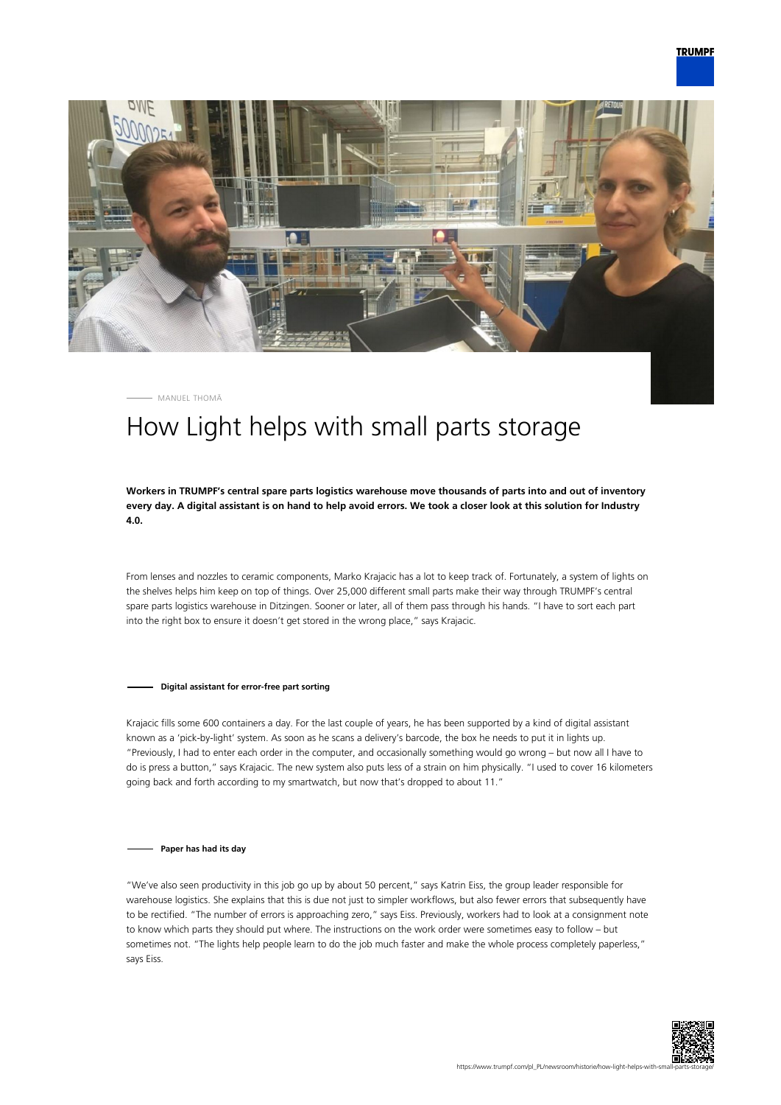



MANUEL THOMÄ

## How Light helps with small parts storage

**Workers in TRUMPF's central spare parts logistics warehouse move thousands of parts into and out of inventory every day. A digital assistant is on hand to help avoid errors. We took a closer look at this solution for Industry 4.0.**

From lenses and nozzles to ceramic components, Marko Krajacic has a lot to keep track of. Fortunately, a system of lights on the shelves helps him keep on top of things. Over 25,000 different small parts make their way through TRUMPF's central spare parts logistics warehouse in Ditzingen. Sooner or later, all of them pass through his hands. "I have to sort each part into the right box to ensure it doesn't get stored in the wrong place," says Krajacic.

## **Digital assistant for error-free part sorting**

Krajacic fills some 600 containers a day. For the last couple of years, he has been supported by a kind of digital assistant known as a 'pick-by-light' system. As soon as he scans a delivery's barcode, the box he needs to put it in lights up. "Previously, I had to enter each order in the computer, and occasionally something would go wrong – but now all I have to do is press a button," says Krajacic. The new system also puts less of a strain on him physically. "I used to cover 16 kilometers going back and forth according to my smartwatch, but now that's dropped to about 11."

## **Paper has had its day**

"We've also seen productivity in this job go up by about 50 percent," says Katrin Eiss, the group leader responsible for warehouse logistics. She explains that this is due not just to simpler workflows, but also fewer errors that subsequently have to be rectified. "The number of errors is approaching zero," says Eiss. Previously, workers had to look at a consignment note to know which parts they should put where. The instructions on the work order were sometimes easy to follow – but sometimes not. "The lights help people learn to do the job much faster and make the whole process completely paperless," says Eiss.